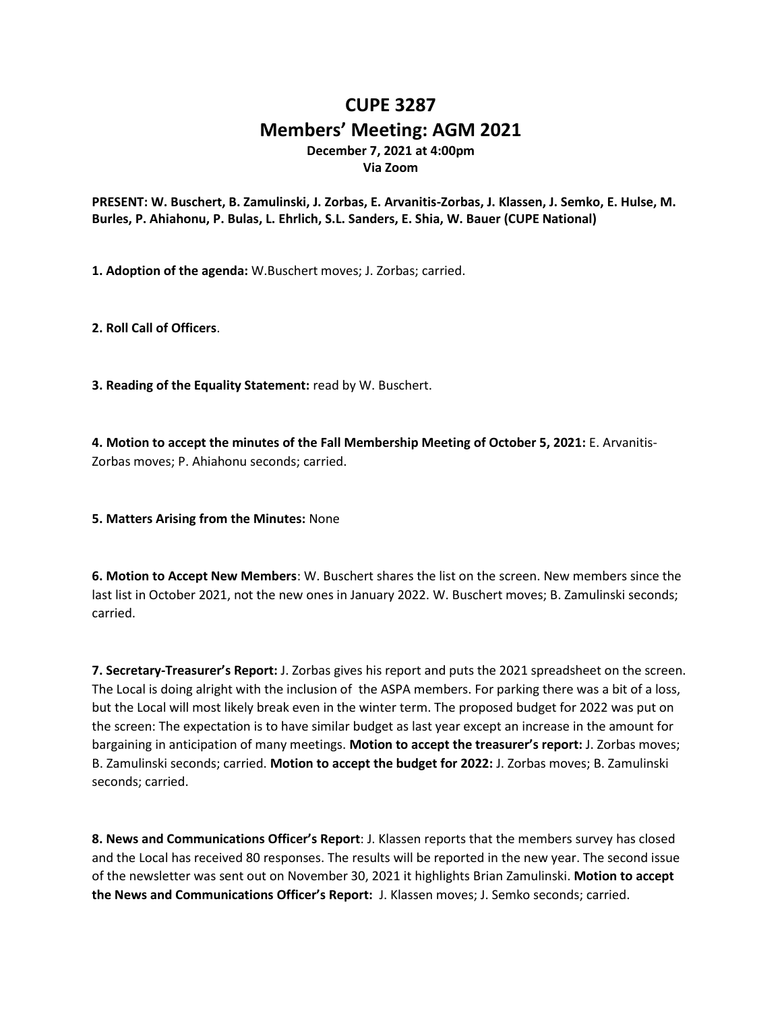## **CUPE 3287 Members' Meeting: AGM 2021 December 7, 2021 at 4:00pm Via Zoom**

**PRESENT: W. Buschert, B. Zamulinski, J. Zorbas, E. Arvanitis-Zorbas, J. Klassen, J. Semko, E. Hulse, M. Burles, P. Ahiahonu, P. Bulas, L. Ehrlich, S.L. Sanders, E. Shia, W. Bauer (CUPE National)**

**1. Adoption of the agenda:** W.Buschert moves; J. Zorbas; carried.

**2. Roll Call of Officers**.

**3. Reading of the Equality Statement:** read by W. Buschert.

**4. Motion to accept the minutes of the Fall Membership Meeting of October 5, 2021:** E. Arvanitis-Zorbas moves; P. Ahiahonu seconds; carried.

## **5. Matters Arising from the Minutes:** None

**6. Motion to Accept New Members**: W. Buschert shares the list on the screen. New members since the last list in October 2021, not the new ones in January 2022. W. Buschert moves; B. Zamulinski seconds; carried.

**7. Secretary-Treasurer's Report:** J. Zorbas gives his report and puts the 2021 spreadsheet on the screen. The Local is doing alright with the inclusion of the ASPA members. For parking there was a bit of a loss, but the Local will most likely break even in the winter term. The proposed budget for 2022 was put on the screen: The expectation is to have similar budget as last year except an increase in the amount for bargaining in anticipation of many meetings. **Motion to accept the treasurer's report:** J. Zorbas moves; B. Zamulinski seconds; carried. **Motion to accept the budget for 2022:** J. Zorbas moves; B. Zamulinski seconds; carried.

**8. News and Communications Officer's Report**: J. Klassen reports that the members survey has closed and the Local has received 80 responses. The results will be reported in the new year. The second issue of the newsletter was sent out on November 30, 2021 it highlights Brian Zamulinski. **Motion to accept the News and Communications Officer's Report:** J. Klassen moves; J. Semko seconds; carried.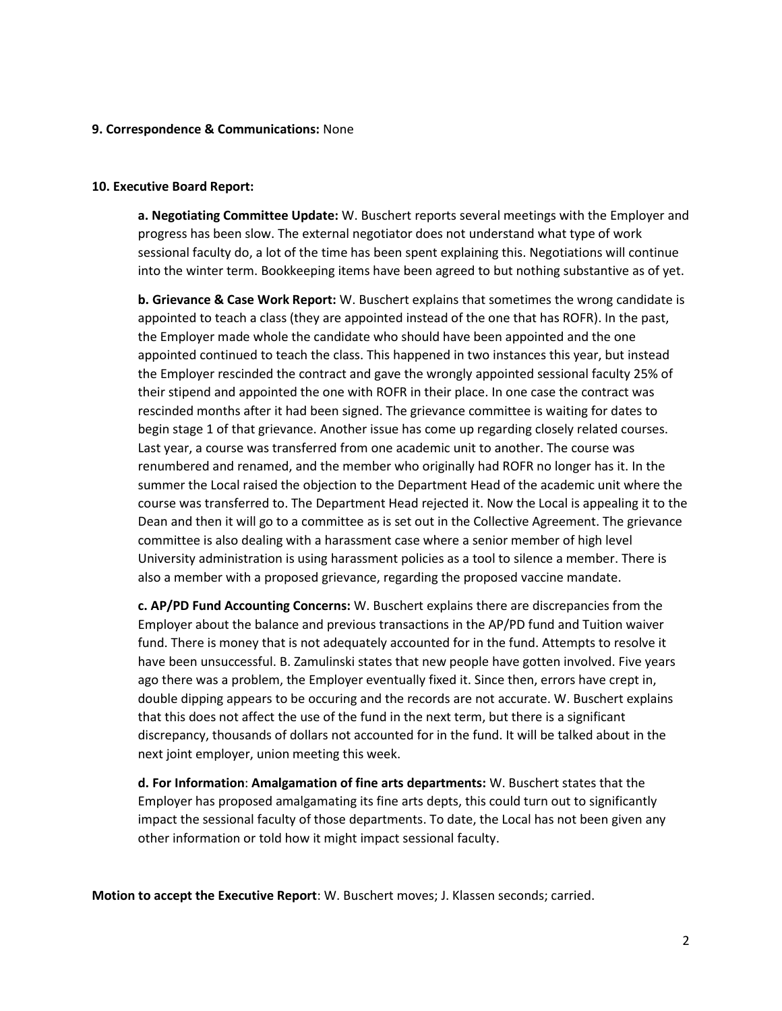## **9. Correspondence & Communications:** None

## **10. Executive Board Report:**

**a. Negotiating Committee Update:** W. Buschert reports several meetings with the Employer and progress has been slow. The external negotiator does not understand what type of work sessional faculty do, a lot of the time has been spent explaining this. Negotiations will continue into the winter term. Bookkeeping items have been agreed to but nothing substantive as of yet.

**b. Grievance & Case Work Report:** W. Buschert explains that sometimes the wrong candidate is appointed to teach a class (they are appointed instead of the one that has ROFR). In the past, the Employer made whole the candidate who should have been appointed and the one appointed continued to teach the class. This happened in two instances this year, but instead the Employer rescinded the contract and gave the wrongly appointed sessional faculty 25% of their stipend and appointed the one with ROFR in their place. In one case the contract was rescinded months after it had been signed. The grievance committee is waiting for dates to begin stage 1 of that grievance. Another issue has come up regarding closely related courses. Last year, a course was transferred from one academic unit to another. The course was renumbered and renamed, and the member who originally had ROFR no longer has it. In the summer the Local raised the objection to the Department Head of the academic unit where the course was transferred to. The Department Head rejected it. Now the Local is appealing it to the Dean and then it will go to a committee as is set out in the Collective Agreement. The grievance committee is also dealing with a harassment case where a senior member of high level University administration is using harassment policies as a tool to silence a member. There is also a member with a proposed grievance, regarding the proposed vaccine mandate.

**c. AP/PD Fund Accounting Concerns:** W. Buschert explains there are discrepancies from the Employer about the balance and previous transactions in the AP/PD fund and Tuition waiver fund. There is money that is not adequately accounted for in the fund. Attempts to resolve it have been unsuccessful. B. Zamulinski states that new people have gotten involved. Five years ago there was a problem, the Employer eventually fixed it. Since then, errors have crept in, double dipping appears to be occuring and the records are not accurate. W. Buschert explains that this does not affect the use of the fund in the next term, but there is a significant discrepancy, thousands of dollars not accounted for in the fund. It will be talked about in the next joint employer, union meeting this week.

**d. For Information**: **Amalgamation of fine arts departments:** W. Buschert states that the Employer has proposed amalgamating its fine arts depts, this could turn out to significantly impact the sessional faculty of those departments. To date, the Local has not been given any other information or told how it might impact sessional faculty.

**Motion to accept the Executive Report**: W. Buschert moves; J. Klassen seconds; carried.